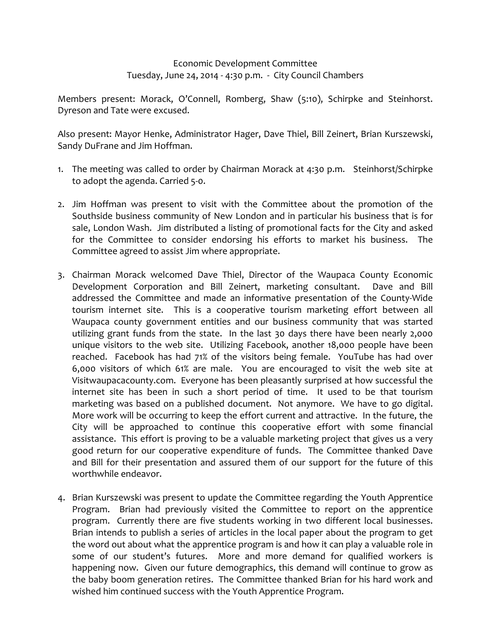## Economic Development Committee Tuesday, June 24, 2014 ‐ 4:30 p.m. ‐ City Council Chambers

Members present: Morack, O'Connell, Romberg, Shaw (5:10), Schirpke and Steinhorst. Dyreson and Tate were excused.

Also present: Mayor Henke, Administrator Hager, Dave Thiel, Bill Zeinert, Brian Kurszewski, Sandy DuFrane and Jim Hoffman.

- 1. The meeting was called to order by Chairman Morack at 4:30 p.m. Steinhorst/Schirpke to adopt the agenda. Carried 5‐0.
- 2. Jim Hoffman was present to visit with the Committee about the promotion of the Southside business community of New London and in particular his business that is for sale, London Wash. Jim distributed a listing of promotional facts for the City and asked for the Committee to consider endorsing his efforts to market his business. The Committee agreed to assist Jim where appropriate.
- 3. Chairman Morack welcomed Dave Thiel, Director of the Waupaca County Economic Development Corporation and Bill Zeinert, marketing consultant. Dave and Bill addressed the Committee and made an informative presentation of the County‐Wide tourism internet site. This is a cooperative tourism marketing effort between all Waupaca county government entities and our business community that was started utilizing grant funds from the state. In the last 30 days there have been nearly 2,000 unique visitors to the web site. Utilizing Facebook, another 18,000 people have been reached. Facebook has had 71% of the visitors being female. YouTube has had over 6,000 visitors of which 61% are male. You are encouraged to visit the web site at Visitwaupacacounty.com. Everyone has been pleasantly surprised at how successful the internet site has been in such a short period of time. It used to be that tourism marketing was based on a published document. Not anymore. We have to go digital. More work will be occurring to keep the effort current and attractive. In the future, the City will be approached to continue this cooperative effort with some financial assistance. This effort is proving to be a valuable marketing project that gives us a very good return for our cooperative expenditure of funds. The Committee thanked Dave and Bill for their presentation and assured them of our support for the future of this worthwhile endeavor.
- 4. Brian Kurszewski was present to update the Committee regarding the Youth Apprentice Program. Brian had previously visited the Committee to report on the apprentice program. Currently there are five students working in two different local businesses. Brian intends to publish a series of articles in the local paper about the program to get the word out about what the apprentice program is and how it can play a valuable role in some of our student's futures. More and more demand for qualified workers is happening now. Given our future demographics, this demand will continue to grow as the baby boom generation retires. The Committee thanked Brian for his hard work and wished him continued success with the Youth Apprentice Program.